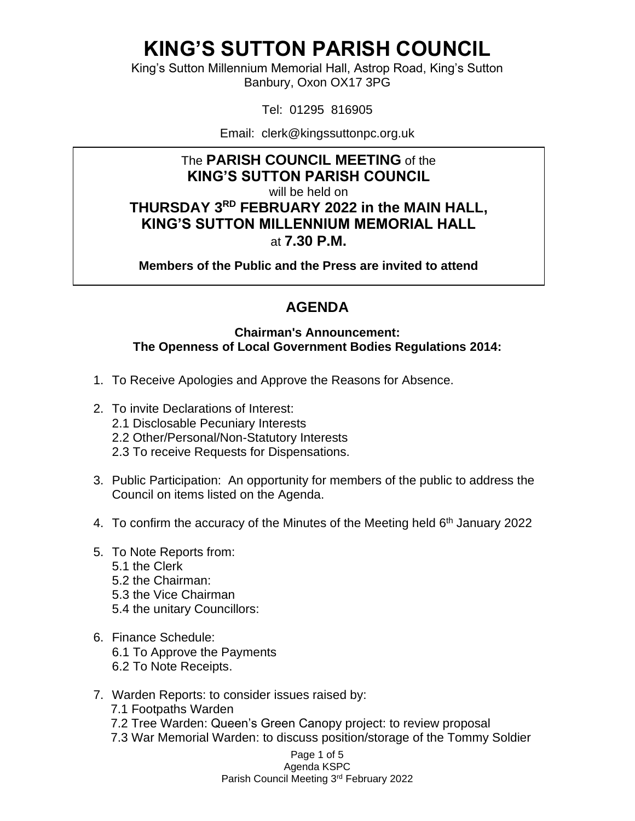King's Sutton Millennium Memorial Hall, Astrop Road, King's Sutton Banbury, Oxon OX17 3PG

Tel: 01295 816905

Email: clerk@kingssuttonpc.org.uk

#### The **PARISH COUNCIL MEETING** of the **KING'S SUTTON PARISH COUNCIL**

will be held on

**THURSDAY 3 RD FEBRUARY 2022 in the MAIN HALL, KING'S SUTTON MILLENNIUM MEMORIAL HALL** at **7.30 P.M.** 

**Members of the Public and the Press are invited to attend** 

### **AGENDA**

#### **Chairman's Announcement: The Openness of Local Government Bodies Regulations 2014:**

- 1. To Receive Apologies and Approve the Reasons for Absence.
- 2. To invite Declarations of Interest:
	- 2.1 Disclosable Pecuniary Interests
	- 2.2 Other/Personal/Non-Statutory Interests
	- 2.3 To receive Requests for Dispensations.
- 3. Public Participation: An opportunity for members of the public to address the Council on items listed on the Agenda.
- 4. To confirm the accuracy of the Minutes of the Meeting held 6<sup>th</sup> January 2022
- 5. To Note Reports from:
	- 5.1 the Clerk
	- 5.2 the Chairman:
	- 5.3 the Vice Chairman
	- 5.4 the unitary Councillors:
- 6. Finance Schedule: 6.1 To Approve the Payments 6.2 To Note Receipts.
- 7. Warden Reports: to consider issues raised by:
	- 7.1 Footpaths Warden
	- 7.2 Tree Warden: Queen's Green Canopy project: to review proposal
	- 7.3 War Memorial Warden: to discuss position/storage of the Tommy Soldier

Page 1 of 5 Agenda KSPC

Parish Council Meeting 3rd February 2022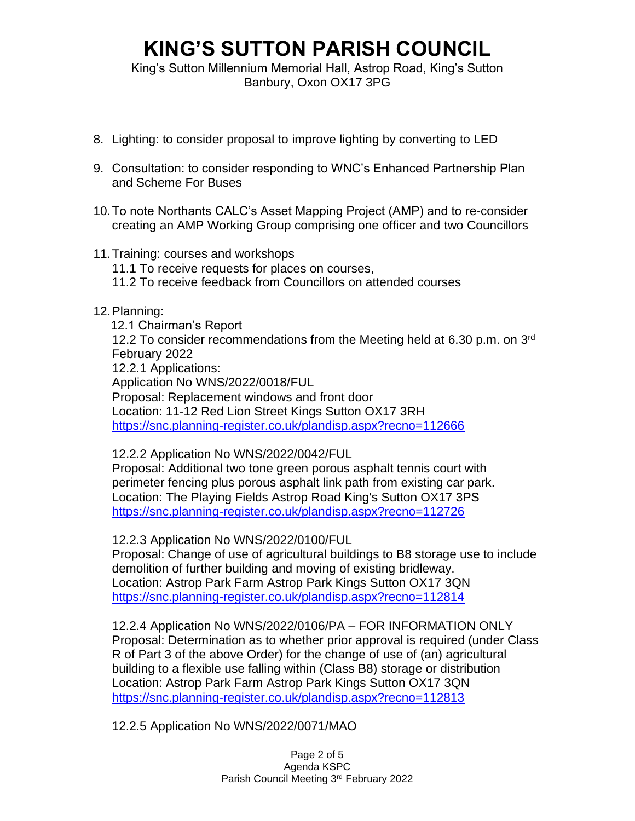King's Sutton Millennium Memorial Hall, Astrop Road, King's Sutton Banbury, Oxon OX17 3PG

- 8. Lighting: to consider proposal to improve lighting by converting to LED
- 9. Consultation: to consider responding to WNC's Enhanced Partnership Plan and Scheme For Buses
- 10.To note Northants CALC's Asset Mapping Project (AMP) and to re-consider creating an AMP Working Group comprising one officer and two Councillors
- 11.Training: courses and workshops
	- 11.1 To receive requests for places on courses,
	- 11.2 To receive feedback from Councillors on attended courses

#### 12.Planning:

 12.1 Chairman's Report 12.2 To consider recommendations from the Meeting held at 6.30 p.m. on 3rd February 2022 12.2.1 Applications: Application No WNS/2022/0018/FUL Proposal: Replacement windows and front door Location: 11-12 Red Lion Street Kings Sutton OX17 3RH

<https://snc.planning-register.co.uk/plandisp.aspx?recno=112666>

12.2.2 Application No WNS/2022/0042/FUL

Proposal: Additional two tone green porous asphalt tennis court with perimeter fencing plus porous asphalt link path from existing car park. Location: The Playing Fields Astrop Road King's Sutton OX17 3PS <https://snc.planning-register.co.uk/plandisp.aspx?recno=112726>

12.2.3 Application No WNS/2022/0100/FUL

Proposal: Change of use of agricultural buildings to B8 storage use to include demolition of further building and moving of existing bridleway. Location: Astrop Park Farm Astrop Park Kings Sutton OX17 3QN <https://snc.planning-register.co.uk/plandisp.aspx?recno=112814>

12.2.4 Application No WNS/2022/0106/PA – FOR INFORMATION ONLY Proposal: Determination as to whether prior approval is required (under Class R of Part 3 of the above Order) for the change of use of (an) agricultural building to a flexible use falling within (Class B8) storage or distribution Location: Astrop Park Farm Astrop Park Kings Sutton OX17 3QN <https://snc.planning-register.co.uk/plandisp.aspx?recno=112813>

12.2.5 Application No WNS/2022/0071/MAO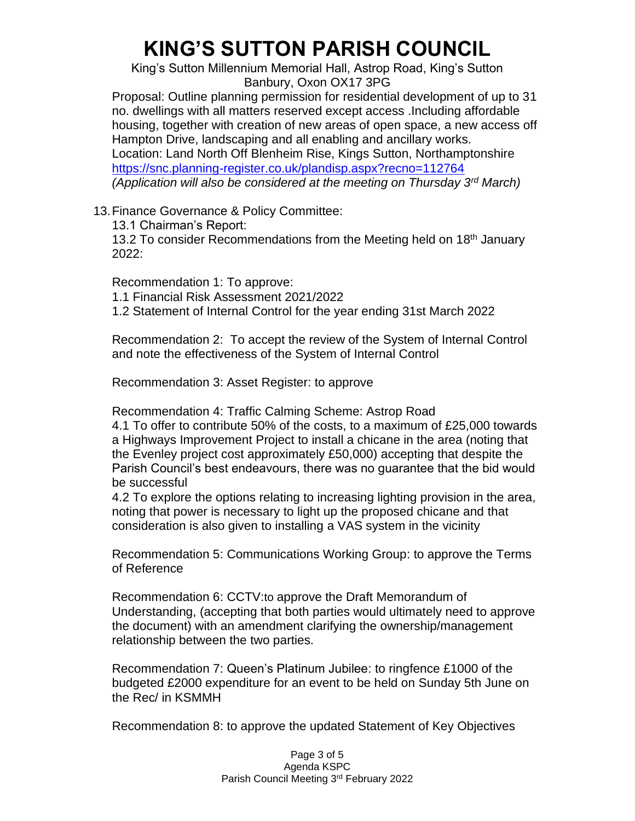King's Sutton Millennium Memorial Hall, Astrop Road, King's Sutton Banbury, Oxon OX17 3PG

Proposal: Outline planning permission for residential development of up to 31 no. dwellings with all matters reserved except access .Including affordable housing, together with creation of new areas of open space, a new access off Hampton Drive, landscaping and all enabling and ancillary works. Location: Land North Off Blenheim Rise, Kings Sutton, Northamptonshire <https://snc.planning-register.co.uk/plandisp.aspx?recno=112764> *(Application will also be considered at the meeting on Thursday 3rd March)*

13.Finance Governance & Policy Committee:

13.1 Chairman's Report:

13.2 To consider Recommendations from the Meeting held on 18<sup>th</sup> January 2022:

Recommendation 1: To approve:

1.1 Financial Risk Assessment 2021/2022

1.2 Statement of Internal Control for the year ending 31st March 2022

Recommendation 2: To accept the review of the System of Internal Control and note the effectiveness of the System of Internal Control

Recommendation 3: Asset Register: to approve

Recommendation 4: Traffic Calming Scheme: Astrop Road

4.1 To offer to contribute 50% of the costs, to a maximum of £25,000 towards a Highways Improvement Project to install a chicane in the area (noting that the Evenley project cost approximately £50,000) accepting that despite the Parish Council's best endeavours, there was no guarantee that the bid would be successful

4.2 To explore the options relating to increasing lighting provision in the area, noting that power is necessary to light up the proposed chicane and that consideration is also given to installing a VAS system in the vicinity

Recommendation 5: Communications Working Group: to approve the Terms of Reference

Recommendation 6: CCTV:to approve the Draft Memorandum of Understanding, (accepting that both parties would ultimately need to approve the document) with an amendment clarifying the ownership/management relationship between the two parties.

Recommendation 7: Queen's Platinum Jubilee: to ringfence £1000 of the budgeted £2000 expenditure for an event to be held on Sunday 5th June on the Rec/ in KSMMH

Recommendation 8: to approve the updated Statement of Key Objectives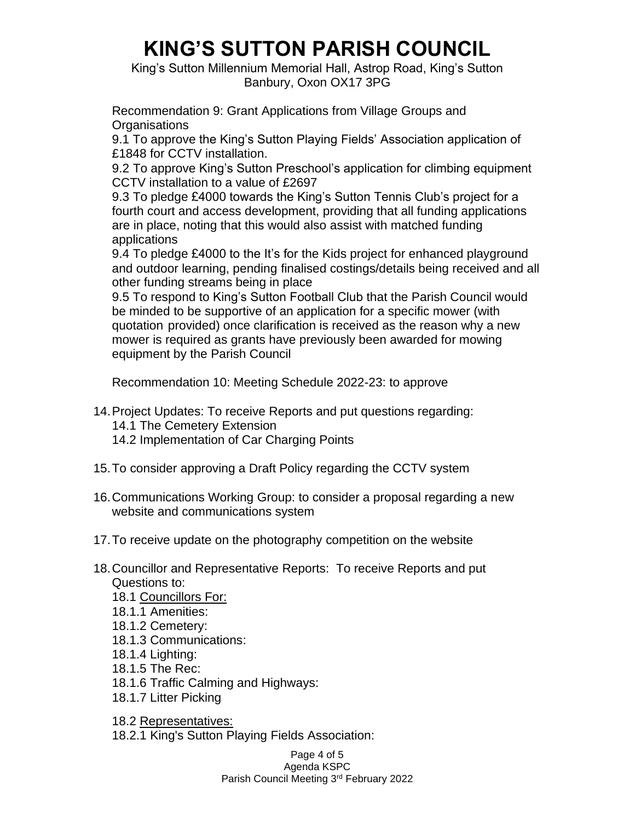King's Sutton Millennium Memorial Hall, Astrop Road, King's Sutton Banbury, Oxon OX17 3PG

Recommendation 9: Grant Applications from Village Groups and **Organisations** 

9.1 To approve the King's Sutton Playing Fields' Association application of £1848 for CCTV installation.

9.2 To approve King's Sutton Preschool's application for climbing equipment CCTV installation to a value of £2697

9.3 To pledge £4000 towards the King's Sutton Tennis Club's project for a fourth court and access development, providing that all funding applications are in place, noting that this would also assist with matched funding applications

9.4 To pledge £4000 to the It's for the Kids project for enhanced playground and outdoor learning, pending finalised costings/details being received and all other funding streams being in place

9.5 To respond to King's Sutton Football Club that the Parish Council would be minded to be supportive of an application for a specific mower (with quotation provided) once clarification is received as the reason why a new mower is required as grants have previously been awarded for mowing equipment by the Parish Council

Recommendation 10: Meeting Schedule 2022-23: to approve

14.Project Updates: To receive Reports and put questions regarding:

- 14.1 The Cemetery Extension
- 14.2 Implementation of Car Charging Points
- 15.To consider approving a Draft Policy regarding the CCTV system
- 16.Communications Working Group: to consider a proposal regarding a new website and communications system
- 17.To receive update on the photography competition on the website
- 18.Councillor and Representative Reports: To receive Reports and put Questions to:
	- 18.1 Councillors For:
	- 18.1.1 Amenities:
	- 18.1.2 Cemetery:
	- 18.1.3 Communications:
	- 18.1.4 Lighting:
	- 18.1.5 The Rec:
	- 18.1.6 Traffic Calming and Highways:
	- 18.1.7 Litter Picking

18.2 Representatives:

18.2.1 King's Sutton Playing Fields Association:

Page 4 of 5 Agenda KSPC Parish Council Meeting 3rd February 2022